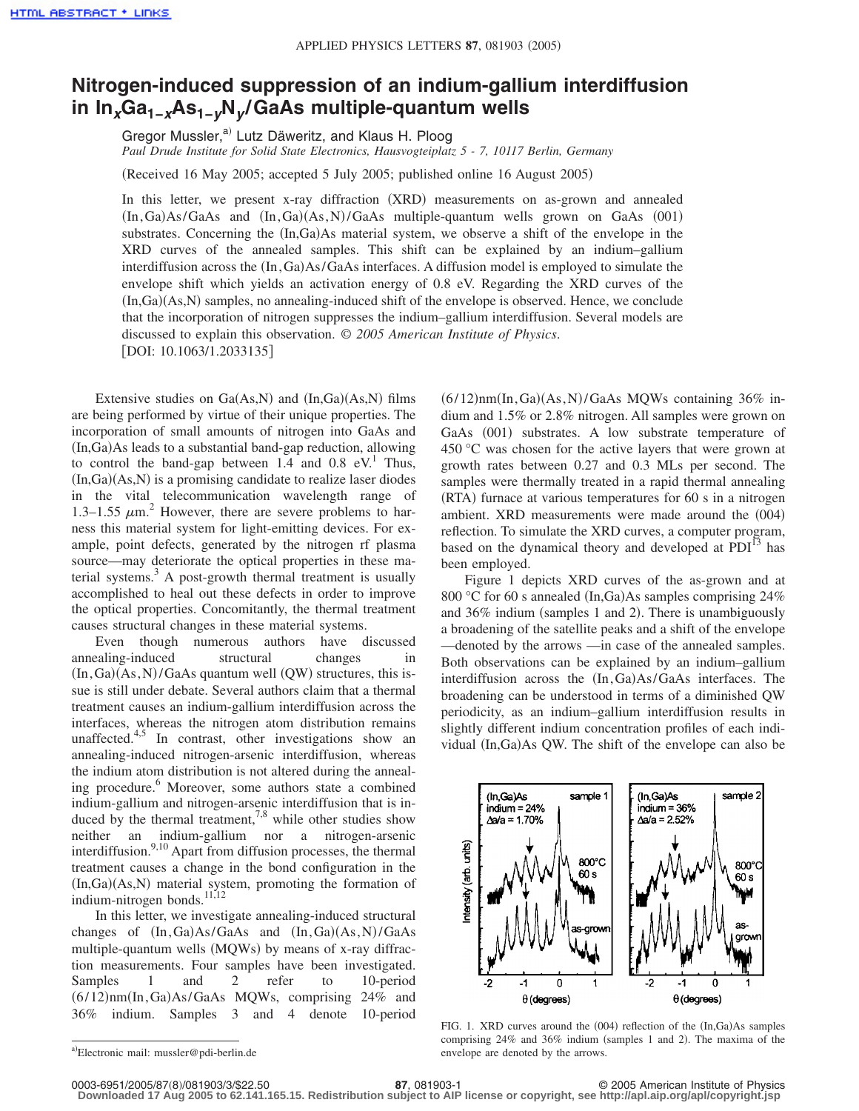## **Nitrogen-induced suppression of an indium-gallium interdiffusion in In***x***Ga1−***x***As1−***y***N***<sup>y</sup>* **/GaAs multiple-quantum wells**

Gregor Mussler,<sup>a)</sup> Lutz Däweritz, and Klaus H. Ploog *Paul Drude Institute for Solid State Electronics, Hausvogteiplatz 5 - 7, 10117 Berlin, Germany*

(Received 16 May 2005; accepted 5 July 2005; published online 16 August 2005)

In this letter, we present x-ray diffraction (XRD) measurements on as-grown and annealed  $(In, Ga) As/GaAs$  and  $(In,Ga)(As, N)/GaAs$  multiple-quantum wells grown on GaAs  $(001)$ substrates. Concerning the  $(In,Ga)$ As material system, we observe a shift of the envelope in the XRD curves of the annealed samples. This shift can be explained by an indium–gallium interdiffusion across the  $(In,Ga)As/GaAs$  interfaces. A diffusion model is employed to simulate the envelope shift which yields an activation energy of 0.8 eV. Regarding the XRD curves of the (In,Ga)(As,N) samples, no annealing-induced shift of the envelope is observed. Hence, we conclude that the incorporation of nitrogen suppresses the indium–gallium interdiffusion. Several models are discussed to explain this observation. © *2005 American Institute of Physics*. [DOI: 10.1063/1.2033135]

Extensive studies on  $Ga(As,N)$  and  $(In,Ga)(As,N)$  films are being performed by virtue of their unique properties. The incorporation of small amounts of nitrogen into GaAs and (In, Ga) As leads to a substantial band-gap reduction, allowing to control the band-gap between  $1.4$  and  $0.8$  eV.<sup>1</sup> Thus, (In,Ga)(As,N) is a promising candidate to realize laser diodes in the vital telecommunication wavelength range of 1.3–1.55  $\mu$ m.<sup>2</sup> However, there are severe problems to harness this material system for light-emitting devices. For example, point defects, generated by the nitrogen rf plasma source—may deteriorate the optical properties in these material systems. $3$  A post-growth thermal treatment is usually accomplished to heal out these defects in order to improve the optical properties. Concomitantly, the thermal treatment causes structural changes in these material systems.

Even though numerous authors have discussed annealing-induced structural changes in  $(In, Ga)(As, N)/GaAs$  quantum well  $(QW)$  structures, this issue is still under debate. Several authors claim that a thermal treatment causes an indium-gallium interdiffusion across the interfaces, whereas the nitrogen atom distribution remains unaffected. $4,5$  In contrast, other investigations show an annealing-induced nitrogen-arsenic interdiffusion, whereas the indium atom distribution is not altered during the annealing procedure.<sup>6</sup> Moreover, some authors state a combined indium-gallium and nitrogen-arsenic interdiffusion that is induced by the thermal treatment,<sup>7,8</sup> while other studies show neither an indium-gallium nor a nitrogen-arsenic interdiffusion.<sup>9,10</sup> Apart from diffusion processes, the thermal treatment causes a change in the bond configuration in the (In,Ga)(As,N) material system, promoting the formation of indium-nitrogen bonds.<sup>11,12</sup>

In this letter, we investigate annealing-induced structural changes of  $(In,Ga)As/GaAs$  and  $(In,Ga)(As, N)/GaAs$ multiple-quantum wells (MQWs) by means of x-ray diffraction measurements. Four samples have been investigated. Samples 1 and 2 refer to 10-period (6/12)nm(In, Ga)As/GaAs MQWs, comprising 24% and 36% indium. Samples 3 and 4 denote 10-period

 $(6/12)$ nm $(In, Ga)(As, N)/GaAs$  MQWs containing 36% indium and 1.5% or 2.8% nitrogen. All samples were grown on GaAs (001) substrates. A low substrate temperature of 450 °C was chosen for the active layers that were grown at growth rates between 0.27 and 0.3 MLs per second. The samples were thermally treated in a rapid thermal annealing (RTA) furnace at various temperatures for 60 s in a nitrogen ambient. XRD measurements were made around the (004) reflection. To simulate the XRD curves, a computer program, based on the dynamical theory and developed at  $PDI<sup>13</sup>$  has been employed.

Figure 1 depicts XRD curves of the as-grown and at 800 °C for 60 s annealed (In,Ga)As samples comprising 24% and 36% indium (samples 1 and 2). There is unambiguously a broadening of the satellite peaks and a shift of the envelope —denoted by the arrows —in case of the annealed samples. Both observations can be explained by an indium–gallium interdiffusion across the  $(In,Ga)As/GaAs$  interfaces. The broadening can be understood in terms of a diminished QW periodicity, as an indium–gallium interdiffusion results in slightly different indium concentration profiles of each individual (In,Ga)As QW. The shift of the envelope can also be



FIG. 1. XRD curves around the (004) reflection of the (In,Ga)As samples comprising 24% and 36% indium (samples 1 and 2). The maxima of the envelope are denoted by the arrows.

**Downloaded 17 Aug 2005 to 62.141.165.15. Redistribution subject to AIP license or copyright, see http://apl.aip.org/apl/copyright.jsp**

a)Electronic mail: mussler@pdi-berlin.de

<sup>87, 081903-1</sup> **87, 081903-1** © 2005 American Institute of Physics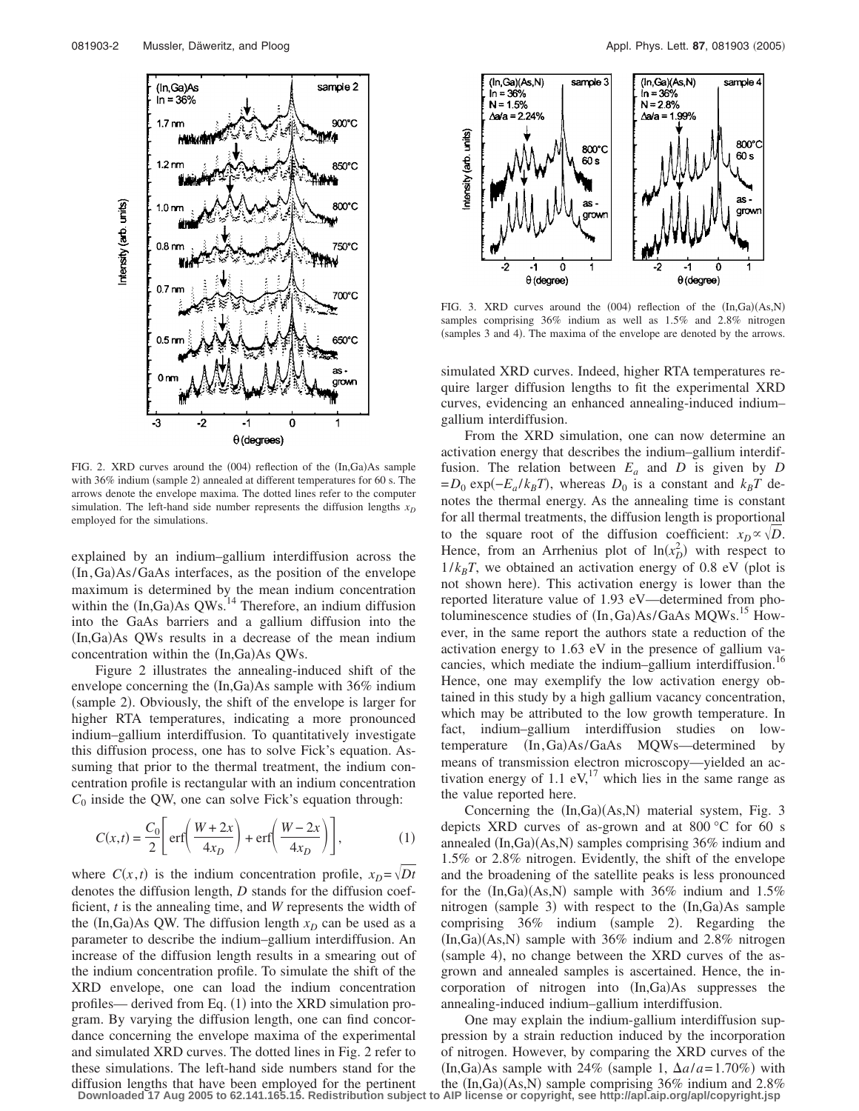

FIG. 2. XRD curves around the (004) reflection of the (In,Ga)As sample with 36% indium (sample 2) annealed at different temperatures for 60 s. The arrows denote the envelope maxima. The dotted lines refer to the computer simulation. The left-hand side number represents the diffusion lengths  $x<sub>D</sub>$ employed for the simulations.

explained by an indium–gallium interdiffusion across the (In, Ga)As/GaAs interfaces, as the position of the envelope maximum is determined by the mean indium concentration within the  $(In,Ga)As$  QWs.<sup>14</sup> Therefore, an indium diffusion into the GaAs barriers and a gallium diffusion into the (In,Ga)As QWs results in a decrease of the mean indium concentration within the (In,Ga)As QWs.

Figure 2 illustrates the annealing-induced shift of the envelope concerning the  $(In,Ga)$ As sample with 36% indium (sample 2). Obviously, the shift of the envelope is larger for higher RTA temperatures, indicating a more pronounced indium–gallium interdiffusion. To quantitatively investigate this diffusion process, one has to solve Fick's equation. Assuming that prior to the thermal treatment, the indium concentration profile is rectangular with an indium concentration  $C_0$  inside the QW, one can solve Fick's equation through:

$$
C(x,t) = \frac{C_0}{2} \left[ \text{erf}\left(\frac{W+2x}{4x_D}\right) + \text{erf}\left(\frac{W-2x}{4x_D}\right) \right],\tag{1}
$$

where  $C(x, t)$  is the indium concentration profile,  $x_D = \sqrt{Dt}$ denotes the diffusion length, *D* stands for the diffusion coefficient, *t* is the annealing time, and *W* represents the width of the  $(In,Ga)$ As QW. The diffusion length  $x_D$  can be used as a parameter to describe the indium–gallium interdiffusion. An increase of the diffusion length results in a smearing out of the indium concentration profile. To simulate the shift of the XRD envelope, one can load the indium concentration profiles— derived from Eq. (1) into the XRD simulation program. By varying the diffusion length, one can find concordance concerning the envelope maxima of the experimental and simulated XRD curves. The dotted lines in Fig. 2 refer to these simulations. The left-hand side numbers stand for the diffusion lengths that have been employed for the pertinent



FIG. 3. XRD curves around the  $(004)$  reflection of the  $(In, Ga)(As, N)$ samples comprising 36% indium as well as 1.5% and 2.8% nitrogen (samples 3 and 4). The maxima of the envelope are denoted by the arrows.

simulated XRD curves. Indeed, higher RTA temperatures require larger diffusion lengths to fit the experimental XRD curves, evidencing an enhanced annealing-induced indium– gallium interdiffusion.

From the XRD simulation, one can now determine an activation energy that describes the indium–gallium interdiffusion. The relation between  $E_a$  and  $D$  is given by  $D$  $= D_0 \exp(-E_a / k_B T)$ , whereas  $D_0$  is a constant and  $k_B T$  denotes the thermal energy. As the annealing time is constant for all thermal treatments, the diffusion length is proportional to the square root of the diffusion coefficient:  $x_D \propto \sqrt{D}$ . Hence, from an Arrhenius plot of  $ln(x_0^2)$  with respect to  $1/k_BT$ , we obtained an activation energy of 0.8 eV (plot is not shown here). This activation energy is lower than the reported literature value of 1.93 eV—determined from photoluminescence studies of  $(In, Ga)As/GaAs MQWs.$ <sup>15</sup> However, in the same report the authors state a reduction of the activation energy to 1.63 eV in the presence of gallium vacancies, which mediate the indium–gallium interdiffusion.<sup>16</sup> Hence, one may exemplify the low activation energy obtained in this study by a high gallium vacancy concentration, which may be attributed to the low growth temperature. In fact, indium–gallium interdiffusion studies on lowtemperature (In, Ga)As/GaAs MQWs—determined by means of transmission electron microscopy—yielded an activation energy of  $1.1$  eV,<sup>17</sup> which lies in the same range as the value reported here.

Concerning the  $(In,Ga)(As,N)$  material system, Fig. 3 depicts XRD curves of as-grown and at 800 °C for 60 s annealed (In,Ga)(As,N) samples comprising 36% indium and 1.5% or 2.8% nitrogen. Evidently, the shift of the envelope and the broadening of the satellite peaks is less pronounced for the  $(In,Ga)(As,N)$  sample with 36% indium and 1.5% nitrogen (sample 3) with respect to the (In,Ga)As sample comprising  $36\%$  indium (sample 2). Regarding the  $(In, Ga)(As, N)$  sample with 36% indium and 2.8% nitrogen (sample 4), no change between the XRD curves of the asgrown and annealed samples is ascertained. Hence, the incorporation of nitrogen into (In,Ga)As suppresses the annealing-induced indium–gallium interdiffusion.

One may explain the indium-gallium interdiffusion suppression by a strain reduction induced by the incorporation of nitrogen. However, by comparing the XRD curves of the  $(In, Ga) As sample with 24% (sample 1, \Delta a/a=1.70%) with$ the  $(In,Ga)(As,N)$  sample comprising 36% indium and 2.8% **Downloaded 17 Aug 2005 to 62.141.165.15. Redistribution subject to AIP license or copyright, see http://apl.aip.org/apl/copyright.jsp**